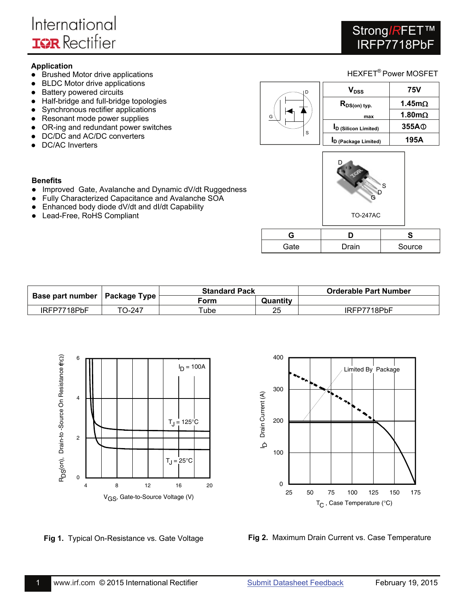# Strong<sub>IRFET</sub> IRFP7718PbF

### **Application**

- Brushed Motor drive applications
- BLDC Motor drive applications
- Battery powered circuits
- Half-bridge and full-bridge topologies
- Synchronous rectifier applications
- Resonant mode power supplies
- OR-ing and redundant power switches
- DC/DC and AC/DC converters
- DC/AC Inverters





- Improved Gate, Avalanche and Dynamic dV/dt Ruggedness
- Fully Characterized Capacitance and Avalanche SOA
- Enhanced body diode dV/dt and dI/dt Capability
- Lead-Free, RoHS Compliant



| c    |       |        |
|------|-------|--------|
| Gate | Drain | Source |

|                                 |        | <b>Standard Pack</b> |          | <b>Orderable Part Number</b> |
|---------------------------------|--------|----------------------|----------|------------------------------|
| Base part number   Package Type |        | Form                 | Quantity |                              |
| IRFP7718PbF                     | TO-247 | Tube                 | つら       | IRFP7718PbF                  |





**Fig 1.** Typical On-Resistance vs. Gate Voltage **Fig 2.** Maximum Drain Current vs. Case Temperature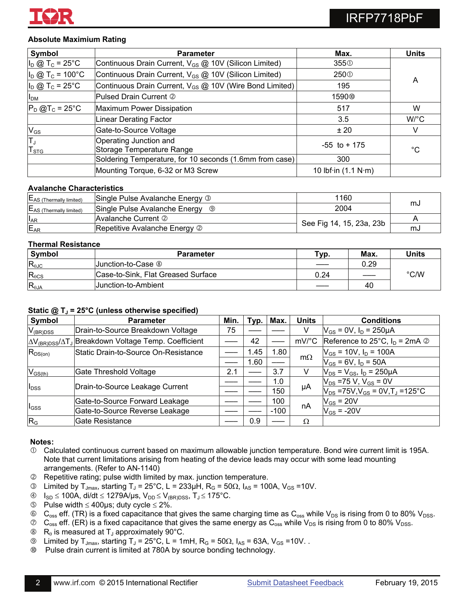

### **Absolute Maximium Rating**

| Symbol                               | <b>Parameter</b>                                                    | Max.                                | <b>Units</b>         |
|--------------------------------------|---------------------------------------------------------------------|-------------------------------------|----------------------|
| $I_D \otimes T_C = 25^{\circ}C$      | Continuous Drain Current, V <sub>GS</sub> @ 10V (Silicon Limited)   | 355 <sub>0</sub>                    |                      |
| $I_D @ T_C = 100°C$                  | Continuous Drain Current, V <sub>GS</sub> @ 10V (Silicon Limited)   | 250 <sup>O</sup>                    |                      |
| $I_D$ @ T <sub>c</sub> = 25°C        | Continuous Drain Current, V <sub>GS</sub> @ 10V (Wire Bond Limited) | 195                                 | A                    |
| I <sub>DM</sub>                      | Pulsed Drain Current 2                                              | 1590 <sup>®</sup>                   |                      |
| $P_D$ @T <sub>c</sub> = 25°C         | Maximum Power Dissipation                                           | 517                                 | W                    |
|                                      | Linear Derating Factor                                              | 3.5                                 | $W$ <sup>o</sup> $C$ |
| $V_{GS}$                             | Gate-to-Source Voltage                                              | ±20                                 | V                    |
| $\overline{T}_J$<br>T <sub>STG</sub> | Operating Junction and<br>Storage Temperature Range                 | $-55$ to $+175$                     | °C                   |
|                                      | Soldering Temperature, for 10 seconds (1.6mm from case)             | 300                                 |                      |
|                                      | Mounting Torque, 6-32 or M3 Screw                                   | 10 lbf $\cdot$ in (1.1 N $\cdot$ m) |                      |

### **Avalanche Characteristics**

| $E_{AS}$ (Thermally limited)        | Single Pulse Avalanche Energy 3 | 1160                     |    |
|-------------------------------------|---------------------------------|--------------------------|----|
| E <sub>AS</sub> (Thermally limited) | Single Pulse Avalanche Energy   | 2004                     | സം |
| $I_{AR}$                            | Avalanche Current 2             |                          |    |
| E <sub>AR</sub>                     | Repetitive Avalanche Energy 2   | See Fig 14, 15, 23a, 23b | സാ |

### **Thermal Resistance**

| Symbol          | <b>Parameter</b>                   | тур. | Max. | <b>Units</b> |
|-----------------|------------------------------------|------|------|--------------|
| $R_{0JC}$       | Uunction-to-Case ⑧                 |      | 0.29 |              |
| $R_{\theta CS}$ | Case-to-Sink, Flat Greased Surface | 0.24 |      | °C/W         |
| $R_{\theta$ JA  | Uunction-to-Ambient                |      | 40   |              |

### Static @ T<sub>J</sub> = 25°C (unless otherwise specified)

| Symbol           | <b>Parameter</b>                                                           | Min. | Typ. | Max.   | <b>Units</b> | <b>Conditions</b>                                   |
|------------------|----------------------------------------------------------------------------|------|------|--------|--------------|-----------------------------------------------------|
| $V_{(BR)DSS}$    | Drain-to-Source Breakdown Voltage                                          | 75   |      |        | V            | $V_{GS}$ = 0V, $I_D$ = 250µA                        |
|                  | AV <sub>(BR)DSS</sub> /AT <sub>J</sub> Breakdown Voltage Temp. Coefficient |      | 42   |        | mV/°C        | Reference to 25°C, $I_D = 2mA$ 2                    |
| $R_{DS(on)}$     | Static Drain-to-Source On-Resistance                                       |      | 1.45 | 1.80   |              | $V_{GS}$ = 10V, $I_D$ = 100A                        |
|                  |                                                                            |      | 1.60 |        | $m\Omega$    | $V_{GS}$ = 6V, $I_D$ = 50A                          |
| $V_{GS(th)}$     | Gate Threshold Voltage                                                     | 2.1  |      | 3.7    | v            | $V_{DS} = V_{GS}$ , $I_D = 250 \mu A$               |
|                  |                                                                            |      |      | 1.0    |              | $V_{DS}$ =75 V, V <sub>GS</sub> = 0V                |
| l <sub>DSS</sub> | Drain-to-Source Leakage Current                                            |      |      | 150    | μA           | $V_{DS}$ =75V, $V_{GS}$ = 0V, T <sub>J</sub> =125°C |
|                  | Gate-to-Source Forward Leakage                                             |      |      | 100    |              | $V_{GS}$ = 20V                                      |
| l <sub>GSS</sub> | Gate-to-Source Reverse Leakage                                             |      |      | $-100$ | nA           | $V_{GS}$ = -20V                                     |
| R <sub>G</sub>   | Gate Resistance                                                            |      | 0.9  |        | Ω            |                                                     |

#### **Notes:**

- Calculated continuous current based on maximum allowable junction temperature. Bond wire current limit is 195A. Note that current limitations arising from heating of the device leads may occur with some lead mounting arrangements. (Refer to AN-1140)
- Repetitive rating; pulse width limited by max. junction temperature.
- **Example 3** Limited by T<sub>Jmax</sub>, starting T<sub>J</sub> = 25°C, L = 233μH, R<sub>G</sub> = 50Ω, I<sub>AS</sub> = 100A, V<sub>GS</sub> =10V.
- $\circ$   $I_{SD} \le 100A$ , di/dt  $\le 1279A/\mu s$ ,  $V_{DD} \le V_{(BR)DSS}$ ,  $T_J \le 175^{\circ}C$ .
- **9** Pulse width  $\leq 400 \mu s$ ; duty cycle  $\leq 2\%$ .
- $\circ$  C<sub>oss</sub> eff. (TR) is a fixed capacitance that gives the same charging time as C<sub>oss</sub> while V<sub>DS</sub> is rising from 0 to 80% V<sub>DSS</sub>.
- $\circledcirc$  C<sub>oss</sub> eff. (ER) is a fixed capacitance that gives the same energy as C<sub>oss</sub> while V<sub>DS</sub> is rising from 0 to 80% V<sub>DSS</sub>.
- $\otimes$  R<sub>e</sub> is measured at T<sub>J</sub> approximately 90°C.
- $\textcircled{1}$  Limited by T<sub>Jmax</sub>, starting T<sub>J</sub> = 25°C, L = 1mH, R<sub>G</sub> = 50 $\Omega$ , I<sub>AS</sub> = 63A, V<sub>GS</sub> = 10V.
- Pulse drain current is limited at 780A by source bonding technology.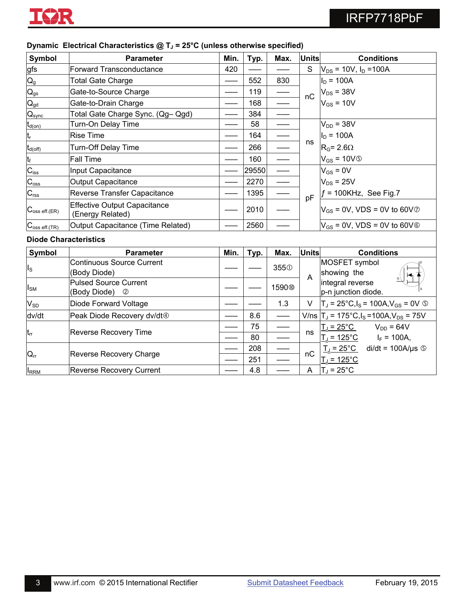

| Symbol                           | <b>Parameter</b>                                        | Min. | Typ.     | Max.                           | <b>Units</b> | <b>Conditions</b>                                                        |
|----------------------------------|---------------------------------------------------------|------|----------|--------------------------------|--------------|--------------------------------------------------------------------------|
| gfs                              | <b>Forward Transconductance</b>                         | 420  |          |                                | S            | $V_{DS}$ = 10V, $I_D$ = 100A                                             |
| $Q_g$                            | <b>Total Gate Charge</b>                                |      | 552      | 830                            |              | $I_D = 100A$                                                             |
| $\mathsf{Q}_{\text{gs}}$         | Gate-to-Source Charge                                   |      | 119      | $\overbrace{\hspace{27mm}}^{}$ | nC           | $V_{DS}$ = 38V                                                           |
| $Q_{gd}$                         | Gate-to-Drain Charge                                    |      | 168      |                                |              | $V_{GS}$ = 10V                                                           |
| $\mathsf{Q}_\text{sync}$         | Total Gate Charge Sync. (Qg- Qgd)                       |      | 384      |                                |              |                                                                          |
| $t_{d(on)}$                      | Turn-On Delay Time                                      |      | 58       |                                |              | $V_{DD}$ = 38V                                                           |
| t,                               | <b>Rise Time</b>                                        |      | 164      |                                |              | $I_D = 100A$                                                             |
| $t_{d(\rm off)}$                 | <b>Turn-Off Delay Time</b>                              |      | 266      |                                | ns           | $R_G$ = 2.6 $\Omega$                                                     |
| t <sub>f</sub>                   | <b>Fall Time</b>                                        |      | 160      |                                |              | $V_{GS} = 10V$                                                           |
| $\overline{C_{\text{iss}}}$      | Input Capacitance                                       |      | 29550    |                                |              | $V_{GS} = 0V$                                                            |
| $C_{\rm osc}$                    | <b>Output Capacitance</b>                               |      | 2270     |                                |              | $V_{DS}$ = 25V                                                           |
| $C_{\underline{rss}}$            | <b>Reverse Transfer Capacitance</b>                     |      | 1395     |                                |              | $f = 100$ KHz, See Fig.7                                                 |
| $C_{\text{oss eff.}(ER)}$        | <b>Effective Output Capacitance</b><br>(Energy Related) |      | 2010     |                                | pF           | $V_{GS}$ = 0V, VDS = 0V to 60V $\oslash$                                 |
| $C_{\text{oss eff.}(\text{TR})}$ | Output Capacitance (Time Related)                       |      | 2560     |                                |              | $V_{GS}$ = 0V, VDS = 0V to 60V $\circ$                                   |
|                                  | <b>Diode Characteristics</b>                            |      |          |                                |              |                                                                          |
| <b>Symbol</b>                    | <b>Parameter</b>                                        | Min. | Typ.     | Max.                           | <b>Units</b> | <b>Conditions</b>                                                        |
| Is                               | <b>Continuous Source Current</b><br>(Body Diode)        |      |          | 355 <sub>0</sub>               | A            | MOSFET symbol<br>showing the                                             |
| $I_{SM}$                         | <b>Pulsed Source Current</b><br>(Body Diode)<br>Ø       |      |          | 1590 <sup>®</sup>              |              | integral reverse<br>p-n junction diode.                                  |
| $V_{SD}$                         | Diode Forward Voltage                                   |      |          | 1.3                            | V.           | $T_J = 25^{\circ}C, I_S = 100A, V_{GS} = 0V$ ©                           |
| dv/dt                            | Peak Diode Recovery dv/dt <sup>4</sup>                  |      | 8.6      | $\qquad \qquad$                |              | V/ns $T_J = 175^{\circ}C$ , $I_S = 100A$ , $V_{DS} = 75V$                |
| $t_{rr}$                         | <b>Reverse Recovery Time</b>                            |      | 75<br>80 | $\overbrace{\hspace{27mm}}^{}$ | ns           | $T_J = 25^{\circ}$ C<br>$V_{DD} = 64V$<br>$T_J$ = 125°C<br>$I_F = 100A,$ |
|                                  |                                                         |      | 208      |                                |              | $T_{\rm J}$ = 25°C<br>$di/dt = 100A/\mu s$ $\circledcirc$                |
| $Q_{rr}$                         | <b>Reverse Recovery Charge</b>                          |      | 251      |                                | nC           | $T_{J}$ = 125 $^{\circ}$ C                                               |
| <b>IRRM</b>                      | <b>Reverse Recovery Current</b>                         |      | 4.8      |                                | A            | $T_J = 25^{\circ}C$                                                      |

### **Dynamic Electrical Characteristics**  $\omega$  **T<sub>1</sub> = 25°C (unless otherwise specified)**

 $\vert I_{\rm RRM}$  Reverse Recovery Current  $\vert -\vert$  4.8  $\vert$   $\vert$   $\vert$   $\vert$  A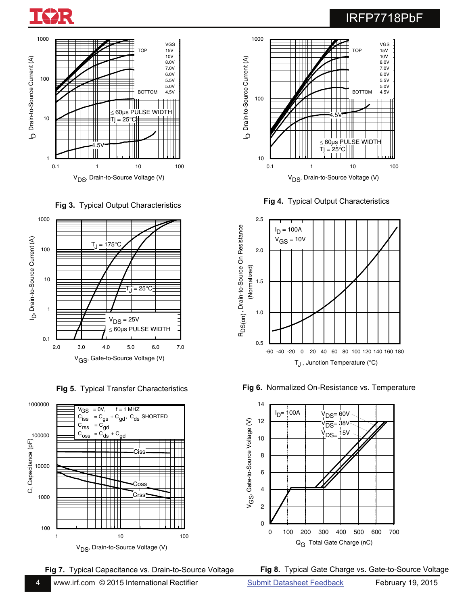















Fig 5. Typical Transfer Characteristics **Fig 6.** Normalized On-Resistance vs. Temperature



**Fig 7.** Typical Capacitance vs. Drain-to-Source Voltage **Fig 8.** Typical Gate Charge vs. Gate-to-Source Voltage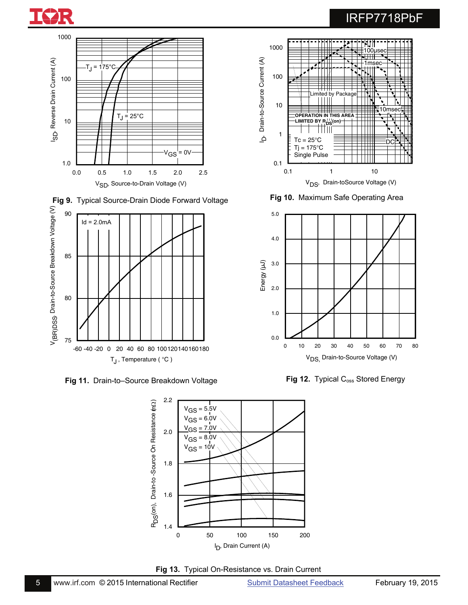





**Fig 9.** Typical Source-Drain Diode Forward Voltage





**Fig 13.** Typical On-Resistance vs. Drain Current



**Fig 10.** Maximum Safe Operating Area



Fig 12. Typical C<sub>oss</sub> Stored Energy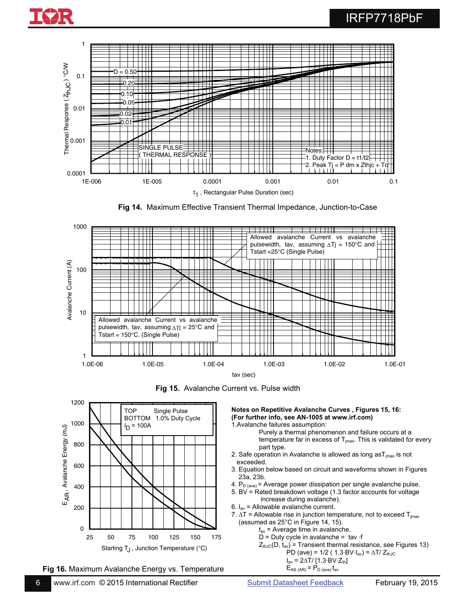

**Fig 14.** Maximum Effective Transient Thermal Impedance, Junction-to-Case



**Fig 15.** Avalanche Current vs. Pulse width



**Fig 16.** Maximum Avalanche Energy vs. Temperature

**Notes on Repetitive Avalanche Curves , Figures 15, 16: (For further info, see AN-1005 at www.irf.com)**  1.Avalanche failures assumption:

 Purely a thermal phenomenon and failure occurs at a temperature far in excess of  $T_{jmax}$ . This is validated for every part type.

- 2. Safe operation in Avalanche is allowed as long  $a_{\text{max}}$  is not exceeded.
- 3. Equation below based on circuit and waveforms shown in Figures 23a, 23b.
- 4.  $P_{D (ave)}$  = Average power dissipation per single avalanche pulse.
- 5. BV = Rated breakdown voltage (1.3 factor accounts for voltage increase during avalanche).
- 6.  $I_{av}$  = Allowable avalanche current.
- 7.  $\Delta T$  = Allowable rise in junction temperature, not to exceed  $T_{\text{imax}}$  (assumed as 25°C in Figure 14, 15).
	- $t_{av}$  = Average time in avalanche.
	- $D = D$ uty cycle in avalanche = tav  $\cdot f$
	- $Z_{\text{thJC}}(D, t_{\text{av}})$  = Transient thermal resistance, see Figures 13) PD (ave) =  $1/2$  (  $1.3$ ·BV·I<sub>av</sub>) =  $\Delta T / Z_{thJC}$

$$
I_{\text{av}} = 2\Delta T / [1.3 \text{ BV} \cdot Z_{\text{th}}]
$$

$$
E_{AS (AR)} = P_{D (ave)} t_{av}
$$

6 [www.irf.com](http://www.irf.com/) © 2015 International Rectifier [Submit Datasheet Feedback](http://ec.irf.com/v6/en/US/adirect/ir?cmd=LogDatasheetFeedback&sku=IRFP7718PbF&date=20150219) February 19, 2015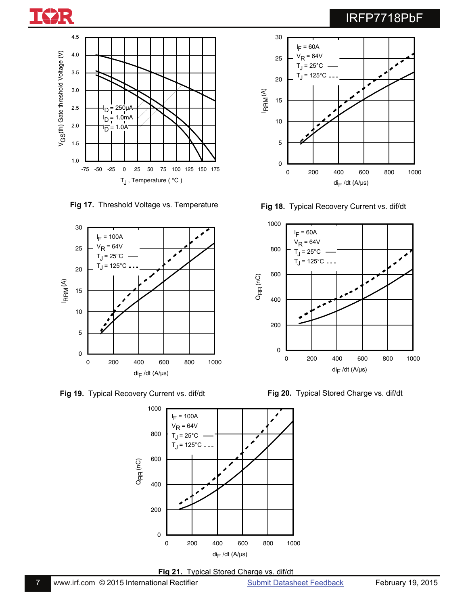





**Fig 19.** Typical Recovery Current vs. dif/dt





30

**Fig 17.** Threshold Voltage vs. Temperature **Fig 18.** Typical Recovery Current vs. dif/dt



**Fig 20.** Typical Stored Charge vs. dif/dt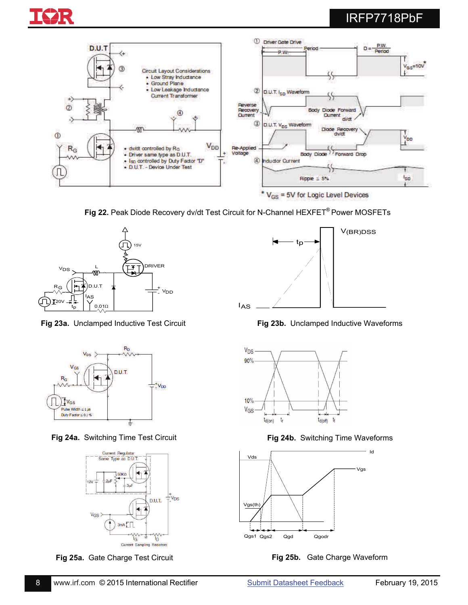



**Fig 22.** Peak Diode Recovery dv/dt Test Circuit for N-Channel HEXFET® Power MOSFETs



**Fig 23a.** Unclamped Inductive Test Circuit



**Fig 24a.** Switching Time Test Circuit



**Fig 25a.** Gate Charge Test Circuit



**Fig 23b.** Unclamped Inductive Waveforms



**Fig 24b.** Switching Time Waveforms



**Fig 25b.** Gate Charge Waveform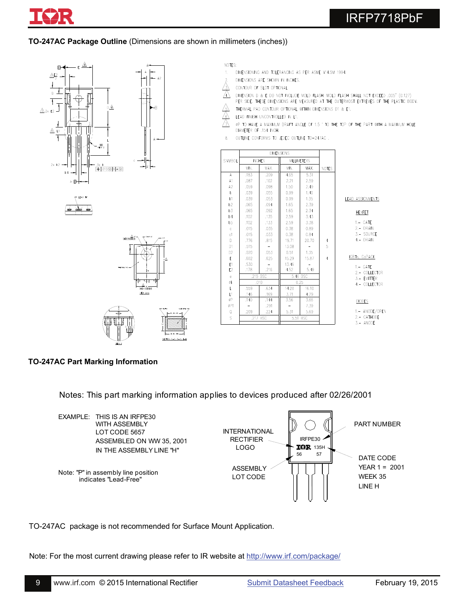

**TO-247AC Package Outline** (Dimensions are shown in millimeters (inches))









- DIMENSIONING AND TOLERANCING AS PER ASME Y14.5M 1994.  $\mathfrak{f}_i$
- DIMENSIONS ARE SHOWN IN INCHES.
- CONTOUR OF SLOT OPTIONAL.
- AN DIMENSION D & E DO NOT INCLUDE MOLD FLASH. MOLD FLASH SHALL NOT EXCEED .005" (0.127)
- PER SIDE. THESE DIMENSIONS ARE MEASURED AT THE OUTERMOST EXTREMES OF THE PLASTIC BODY. THERMAL PAD CONTOUR OPTIONAL WITHIN DIMENSIONS D1 & E1.
- LEAD FINISH UNCONTROLLED IN L1.
- $\frac{\mathbb{A}}{\mathbb{A}}$ ØP TO HAVE A MAXIMUM DRAFT ANGLE OF 1.5 ' TO THE TOP OF THE PART WITH A MAXIMUM HOLE DIAMETER OF .154 INCH.
- OUTLINE CONFORMS TO JEDEC OUTLINE TO-247AC. 8

|                                                         | <b>DIMENSIONS</b> |               |          |                    |                |               |
|---------------------------------------------------------|-------------------|---------------|----------|--------------------|----------------|---------------|
| <b>SYMBOL</b>                                           |                   | <b>INCHES</b> |          | <b>MILLIMETERS</b> |                |               |
|                                                         | MIN.              | MAX.          | MIN.     | MAX.               | <b>NOTES</b>   |               |
| A                                                       | .183              | .209          | 4.65     | 5.31               |                |               |
| A1                                                      | .087              | .102          | 2.21     | 2.59               |                |               |
| A2                                                      | .059              | .098          | 1.50     | 2.49               |                |               |
| b                                                       | .039              | .055          | 0.99     | 1.40               |                |               |
| b1                                                      | .039              | .053          | 0.99     | 1.35               |                | LEAD ASSIGNM  |
| b2                                                      | .065              | .094          | 1.65     | 2.39               |                |               |
| b3                                                      | .065              | .092          | 1.65     | 2.34               |                | <b>HEXFET</b> |
| b4                                                      | .102              | .135          | 2.59     | 3.43               |                |               |
| b5                                                      | .102              | .133          | 2.59     | 3.38               |                | $1 - GAT$     |
| $\mathsf{c}$                                            | .015              | .035          | 0.38     | 0.89               |                | $2 - DRA$     |
| c1                                                      | .015              | .033          | 0.38     | 0.84               |                | $3 - 500$     |
| D                                                       | .776              | .815          | 19.71    | 20.70              | 4              | $4 - DRA$     |
| D1                                                      | .515              | -             | 13.08    |                    | 5              |               |
| D <sub>2</sub>                                          | .020              | .053          | 0.51     | 1.35               |                |               |
| E                                                       | .602              | .625          | 15.29    | 15.87              | $\overline{4}$ | IGBTs, CoPA   |
| E1                                                      | .530              |               | 13.46    |                    |                | $1 - GAT$     |
| E <sub>2</sub>                                          | .178              | .216          | 4.52     | 5.49               |                | $2 - COL$     |
| $\mathsf{e}% _{t}\left( t_{0}\right) \in\mathsf{e}_{t}$ | .215 BSC          |               | 5.46 BSC |                    |                | 3.- EMI       |
| Øk                                                      | .010              |               |          | 0.25               |                | $4 - COL$     |
| L                                                       | .559              | .634          | 14.20    | 16.10              |                |               |
| L1                                                      | ,146              | .169          | 3.71     | 4.29               |                |               |
| øP                                                      | .140              | .144          | 3.56     | 3.66               |                | <b>DIODES</b> |
| øP1                                                     | -                 | .291          |          | 7.39               |                |               |
| Q                                                       | .209              | .224          | 5.31     | 5.69               |                | $1 - ANO$     |
| S                                                       | .217 BSC          |               | 5.51 BSC |                    |                | $2 - CAT$     |
|                                                         |                   |               |          |                    |                | $3 - ANC$     |

#### **SSIGNMENTS**

 $-$  GATE - DRAIN - SOURCE - DRAIN

CoPACK

 $-$  GATE - COLLECTOR - EMITTER - COLLECTOR

**ODES** 

- ANODE/OPEN - CATHODE

 $-$  ANODE

### **TO-247AC Part Marking Information**

Notes: This part marking information applies to devices produced after 02/26/2001



TO-247AC package is not recommended for Surface Mount Application.

Note: For the most current drawing please refer to IR website at http://www.irf.com/package/